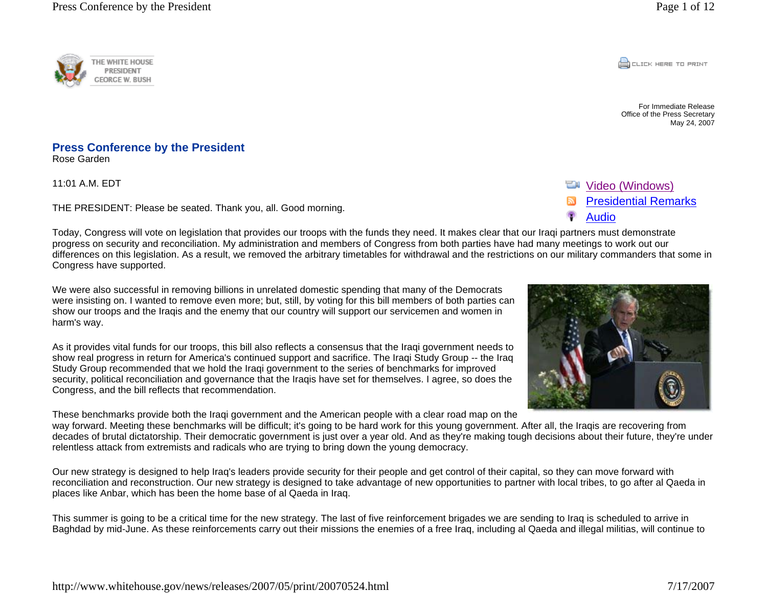HE WHITE HOUSE

PRESIDENT FORCE W RUSH **CONCRETE PRINT** 

For Immediate ReleaseOffice of the Press Secretary May 24, 2007

# **Press Conference by the President**

Rose Garden

11:01 A.M. EDT

THE PRESIDENT: Please be seated. Thank you, all. Good morning.

Today, Congress will vote on legislation that provides our troops with the funds they need. It makes clear that our Iraqi partners must demonstrate progress on security and reconciliation. My administration and members of Congress from both parties have had many meetings to work out our differences on this legislation. As a result, we removed the arbitrary timetables for withdrawal and the restrictions on our military commanders that some in Congress have supported.

We were also successful in removing billions in unrelated domestic spending that many of the Democrats were insisting on. I wanted to remove even more; but, still, by voting for this bill members of both parties can show our troops and the Iraqis and the enemy that our country will support our servicemen and women in harm's way.

As it provides vital funds for our troops, this bill also reflects a consensus that the Iraqi government needs to show real progress in return for America's continued support and sacrifice. The Iraqi Study Group -- the Iraq Study Group recommended that we hold the Iraqi government to the series of benchmarks for improved security, political reconciliation and governance that the Iraqis have set for themselves. I agree, so does the Congress, and the bill reflects that recommendation.

These benchmarks provide both the Iraqi government and the American people with a clear road map on the

way forward. Meeting these benchmarks will be difficult; it's going to be hard work for this young government. After all, the Iraqis are recovering from decades of brutal dictatorship. Their democratic government is just over a year old. And as they're making tough decisions about their future, they're under relentless attack from extremists and radicals who are trying to bring down the young democracy.

Our new strategy is designed to help Iraq's leaders provide security for their people and get control of their capital, so they can move forward with reconciliation and reconstruction. Our new strategy is designed to take advantage of new opportunities to partner with local tribes, to go after al Qaeda in places like Anbar, which has been the home base of al Qaeda in Iraq.

This summer is going to be a critical time for the new strategy. The last of five reinforcement brigades we are sending to Iraq is scheduled to arrive in Baghdad by mid-June. As these reinforcements carry out their missions the enemies of a free Iraq, including al Qaeda and illegal militias, will continue to



**Wideo (Windows)** 

Audio

Presidential Remarks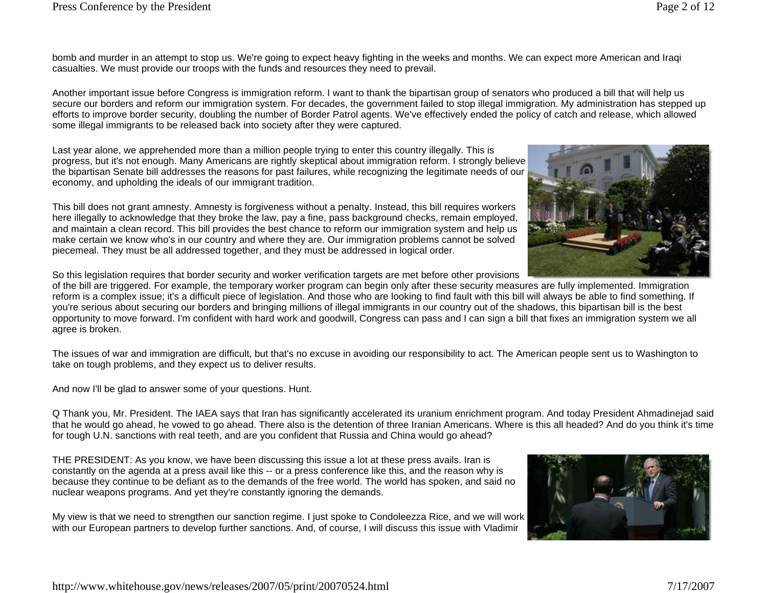bomb and murder in an attempt to stop us. We're going to expect heavy fighting in the weeks and months. We can expect more American and Iraqi casualties. We must provide our troops with the funds and resources they need to prevail.

Another important issue before Congress is immigration reform. I want to thank the bipartisan group of senators who produced a bill that will help us secure our borders and reform our immigration system. For decades, the government failed to stop illegal immigration. My administration has stepped up efforts to improve border security, doubling the number of Border Patrol agents. We've effectively ended the policy of catch and release, which allowed some illegal immigrants to be released back into society after they were captured.

Last year alone, we apprehended more than a million people trying to enter this country illegally. This is progress, but it's not enough. Many Americans are rightly skeptical about immigration reform. I strongly believe the bipartisan Senate bill addresses the reasons for past failures, while recognizing the legitimate needs of our economy, and upholding the ideals of our immigrant tradition.

This bill does not grant amnesty. Amnesty is forgiveness without a penalty. Instead, this bill requires workers here illegally to acknowledge that they broke the law, pay a fine, pass background checks, remain employed, and maintain a clean record. This bill provides the best chance to reform our immigration system and help us make certain we know who's in our country and where they are. Our immigration problems cannot be solved piecemeal. They must be all addressed together, and they must be addressed in logical order.

So this legislation requires that border security and worker verification targets are met before other provisions

of the bill are triggered. For example, the temporary worker program can begin only after these security measures are fully implemented. Immigration reform is a complex issue; it's a difficult piece of legislation. And those who are looking to find fault with this bill will always be able to find something. If you're serious about securing our borders and bringing millions of illegal immigrants in our country out of the shadows, this bipartisan bill is the best opportunity to move forward. I'm confident with hard work and goodwill, Congress can pass and I can sign a bill that fixes an immigration system we all agree is broken.

The issues of war and immigration are difficult, but that's no excuse in avoiding our responsibility to act. The American people sent us to Washington to take on tough problems, and they expect us to deliver results.

And now I'll be glad to answer some of your questions. Hunt.

Q Thank you, Mr. President. The IAEA says that Iran has significantly accelerated its uranium enrichment program. And today President Ahmadinejad said that he would go ahead, he vowed to go ahead. There also is the detention of three Iranian Americans. Where is this all headed? And do you think it's time for tough U.N. sanctions with real teeth, and are you confident that Russia and China would go ahead?

THE PRESIDENT: As you know, we have been discussing this issue a lot at these press avails. Iran is constantly on the agenda at a press avail like this -- or a press conference like this, and the reason why is because they continue to be defiant as to the demands of the free world. The world has spoken, and said no nuclear weapons programs. And yet they're constantly ignoring the demands.

My view is that we need to strengthen our sanction regime. I just spoke to Condoleezza Rice, and we will work with our European partners to develop further sanctions. And, of course, I will discuss this issue with Vladimir





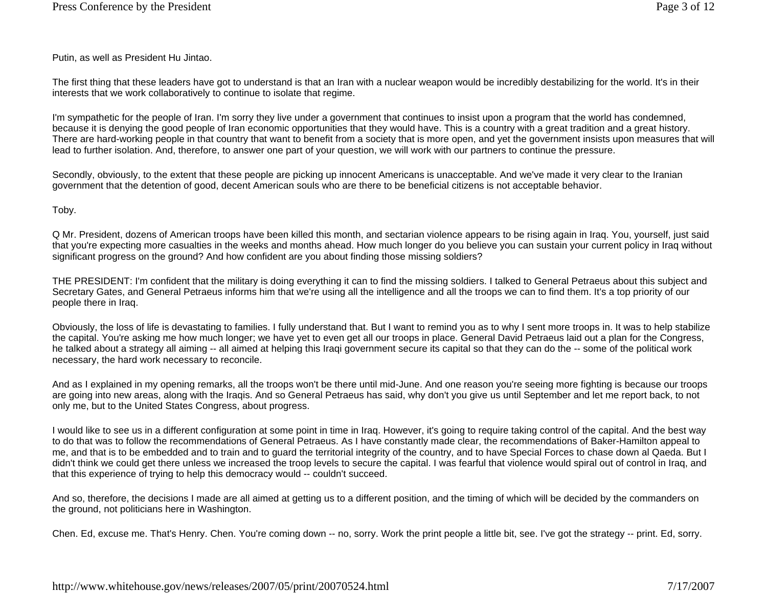Putin, as well as President Hu Jintao.

The first thing that these leaders have got to understand is that an Iran with a nuclear weapon would be incredibly destabilizing for the world. It's in their interests that we work collaboratively to continue to isolate that regime.

I'm sympathetic for the people of Iran. I'm sorry they live under a government that continues to insist upon a program that the world has condemned, because it is denying the good people of Iran economic opportunities that they would have. This is a country with a great tradition and a great history. There are hard-working people in that country that want to benefit from a society that is more open, and yet the government insists upon measures that will lead to further isolation. And, therefore, to answer one part of your question, we will work with our partners to continue the pressure.

Secondly, obviously, to the extent that these people are picking up innocent Americans is unacceptable. And we've made it very clear to the Iranian government that the detention of good, decent American souls who are there to be beneficial citizens is not acceptable behavior.

Toby.

Q Mr. President, dozens of American troops have been killed this month, and sectarian violence appears to be rising again in Iraq. You, yourself, just said that you're expecting more casualties in the weeks and months ahead. How much longer do you believe you can sustain your current policy in Iraq without significant progress on the ground? And how confident are you about finding those missing soldiers?

THE PRESIDENT: I'm confident that the military is doing everything it can to find the missing soldiers. I talked to General Petraeus about this subject and Secretary Gates, and General Petraeus informs him that we're using all the intelligence and all the troops we can to find them. It's a top priority of our people there in Iraq.

Obviously, the loss of life is devastating to families. I fully understand that. But I want to remind you as to why I sent more troops in. It was to help stabilize the capital. You're asking me how much longer; we have yet to even get all our troops in place. General David Petraeus laid out a plan for the Congress, he talked about a strategy all aiming -- all aimed at helping this Iraqi government secure its capital so that they can do the -- some of the political work necessary, the hard work necessary to reconcile.

And as I explained in my opening remarks, all the troops won't be there until mid-June. And one reason you're seeing more fighting is because our troops are going into new areas, along with the Iraqis. And so General Petraeus has said, why don't you give us until September and let me report back, to not only me, but to the United States Congress, about progress.

I would like to see us in a different configuration at some point in time in Iraq. However, it's going to require taking control of the capital. And the best way to do that was to follow the recommendations of General Petraeus. As I have constantly made clear, the recommendations of Baker-Hamilton appeal to me, and that is to be embedded and to train and to guard the territorial integrity of the country, and to have Special Forces to chase down al Qaeda. But I didn't think we could get there unless we increased the troop levels to secure the capital. I was fearful that violence would spiral out of control in Iraq, and that this experience of trying to help this democracy would -- couldn't succeed.

And so, therefore, the decisions I made are all aimed at getting us to a different position, and the timing of which will be decided by the commanders on the ground, not politicians here in Washington.

Chen. Ed, excuse me. That's Henry. Chen. You're coming down -- no, sorry. Work the print people a little bit, see. I've got the strategy -- print. Ed, sorry.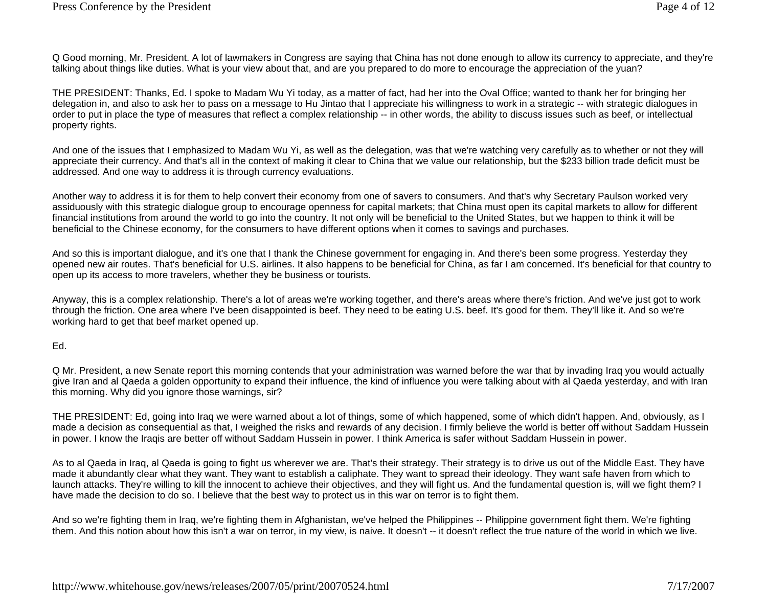Q Good morning, Mr. President. A lot of lawmakers in Congress are saying that China has not done enough to allow its currency to appreciate, and they're talking about things like duties. What is your view about that, and are you prepared to do more to encourage the appreciation of the yuan?

THE PRESIDENT: Thanks, Ed. I spoke to Madam Wu Yi today, as a matter of fact, had her into the Oval Office; wanted to thank her for bringing her delegation in, and also to ask her to pass on a message to Hu Jintao that I appreciate his willingness to work in a strategic -- with strategic dialogues in order to put in place the type of measures that reflect a complex relationship -- in other words, the ability to discuss issues such as beef, or intellectual property rights.

And one of the issues that I emphasized to Madam Wu Yi, as well as the delegation, was that we're watching very carefully as to whether or not they will appreciate their currency. And that's all in the context of making it clear to China that we value our relationship, but the \$233 billion trade deficit must be addressed. And one way to address it is through currency evaluations.

Another way to address it is for them to help convert their economy from one of savers to consumers. And that's why Secretary Paulson worked very assiduously with this strategic dialogue group to encourage openness for capital markets; that China must open its capital markets to allow for different financial institutions from around the world to go into the country. It not only will be beneficial to the United States, but we happen to think it will be beneficial to the Chinese economy, for the consumers to have different options when it comes to savings and purchases.

And so this is important dialogue, and it's one that I thank the Chinese government for engaging in. And there's been some progress. Yesterday they opened new air routes. That's beneficial for U.S. airlines. It also happens to be beneficial for China, as far I am concerned. It's beneficial for that country to open up its access to more travelers, whether they be business or tourists.

Anyway, this is a complex relationship. There's a lot of areas we're working together, and there's areas where there's friction. And we've just got to work through the friction. One area where I've been disappointed is beef. They need to be eating U.S. beef. It's good for them. They'll like it. And so we're working hard to get that beef market opened up.

Ed.

Q Mr. President, a new Senate report this morning contends that your administration was warned before the war that by invading Iraq you would actually give Iran and al Qaeda a golden opportunity to expand their influence, the kind of influence you were talking about with al Qaeda yesterday, and with Iran this morning. Why did you ignore those warnings, sir?

THE PRESIDENT: Ed, going into Iraq we were warned about a lot of things, some of which happened, some of which didn't happen. And, obviously, as I made a decision as consequential as that, I weighed the risks and rewards of any decision. I firmly believe the world is better off without Saddam Hussein in power. I know the Iraqis are better off without Saddam Hussein in power. I think America is safer without Saddam Hussein in power.

As to al Qaeda in Iraq, al Qaeda is going to fight us wherever we are. That's their strategy. Their strategy is to drive us out of the Middle East. They have made it abundantly clear what they want. They want to establish a caliphate. They want to spread their ideology. They want safe haven from which to launch attacks. They're willing to kill the innocent to achieve their objectives, and they will fight us. And the fundamental question is, will we fight them? I have made the decision to do so. I believe that the best way to protect us in this war on terror is to fight them.

And so we're fighting them in Iraq, we're fighting them in Afghanistan, we've helped the Philippines -- Philippine government fight them. We're fighting them. And this notion about how this isn't a war on terror, in my view, is naive. It doesn't -- it doesn't reflect the true nature of the world in which we live.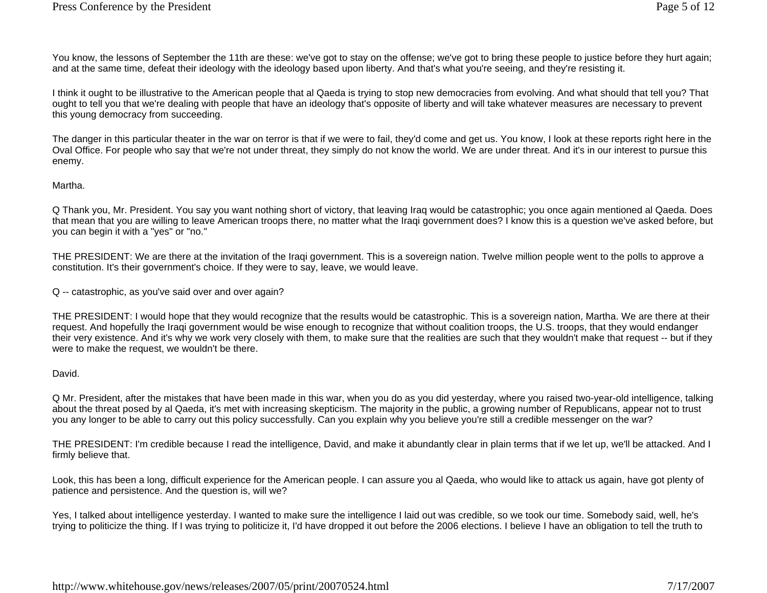You know, the lessons of September the 11th are these: we've got to stay on the offense; we've got to bring these people to justice before they hurt again; and at the same time, defeat their ideology with the ideology based upon liberty. And that's what you're seeing, and they're resisting it.

I think it ought to be illustrative to the American people that al Qaeda is trying to stop new democracies from evolving. And what should that tell you? That ought to tell you that we're dealing with people that have an ideology that's opposite of liberty and will take whatever measures are necessary to prevent this young democracy from succeeding.

The danger in this particular theater in the war on terror is that if we were to fail, they'd come and get us. You know, I look at these reports right here in the Oval Office. For people who say that we're not under threat, they simply do not know the world. We are under threat. And it's in our interest to pursue this enemy.

## Martha.

Q Thank you, Mr. President. You say you want nothing short of victory, that leaving Iraq would be catastrophic; you once again mentioned al Qaeda. Does that mean that you are willing to leave American troops there, no matter what the Iraqi government does? I know this is a question we've asked before, but you can begin it with a "yes" or "no."

THE PRESIDENT: We are there at the invitation of the Iraqi government. This is a sovereign nation. Twelve million people went to the polls to approve a constitution. It's their government's choice. If they were to say, leave, we would leave.

Q -- catastrophic, as you've said over and over again?

THE PRESIDENT: I would hope that they would recognize that the results would be catastrophic. This is a sovereign nation, Martha. We are there at their request. And hopefully the Iraqi government would be wise enough to recognize that without coalition troops, the U.S. troops, that they would endanger their very existence. And it's why we work very closely with them, to make sure that the realities are such that they wouldn't make that request -- but if they were to make the request, we wouldn't be there.

## David.

Q Mr. President, after the mistakes that have been made in this war, when you do as you did yesterday, where you raised two-year-old intelligence, talking about the threat posed by al Qaeda, it's met with increasing skepticism. The majority in the public, a growing number of Republicans, appear not to trust you any longer to be able to carry out this policy successfully. Can you explain why you believe you're still a credible messenger on the war?

THE PRESIDENT: I'm credible because I read the intelligence, David, and make it abundantly clear in plain terms that if we let up, we'll be attacked. And I firmly believe that.

Look, this has been a long, difficult experience for the American people. I can assure you al Qaeda, who would like to attack us again, have got plenty of patience and persistence. And the question is, will we?

Yes, I talked about intelligence yesterday. I wanted to make sure the intelligence I laid out was credible, so we took our time. Somebody said, well, he's trying to politicize the thing. If I was trying to politicize it, I'd have dropped it out before the 2006 elections. I believe I have an obligation to tell the truth to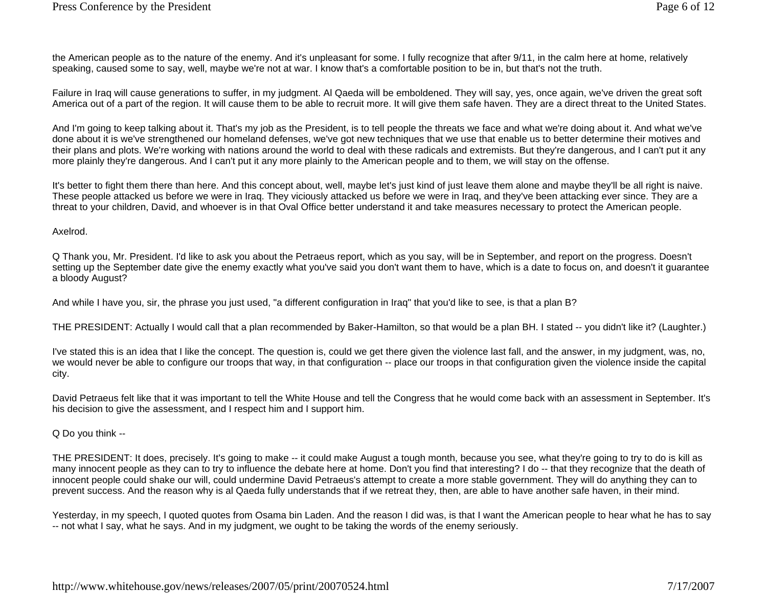the American people as to the nature of the enemy. And it's unpleasant for some. I fully recognize that after 9/11, in the calm here at home, relatively speaking, caused some to say, well, maybe we're not at war. I know that's a comfortable position to be in, but that's not the truth.

Failure in Iraq will cause generations to suffer, in my judgment. Al Qaeda will be emboldened. They will say, yes, once again, we've driven the great soft America out of a part of the region. It will cause them to be able to recruit more. It will give them safe haven. They are a direct threat to the United States.

And I'm going to keep talking about it. That's my job as the President, is to tell people the threats we face and what we're doing about it. And what we've done about it is we've strengthened our homeland defenses, we've got new techniques that we use that enable us to better determine their motives and their plans and plots. We're working with nations around the world to deal with these radicals and extremists. But they're dangerous, and I can't put it any more plainly they're dangerous. And I can't put it any more plainly to the American people and to them, we will stay on the offense.

It's better to fight them there than here. And this concept about, well, maybe let's just kind of just leave them alone and maybe they'll be all right is naive. These people attacked us before we were in Iraq. They viciously attacked us before we were in Iraq, and they've been attacking ever since. They are a threat to your children, David, and whoever is in that Oval Office better understand it and take measures necessary to protect the American people.

#### Axelrod.

Q Thank you, Mr. President. I'd like to ask you about the Petraeus report, which as you say, will be in September, and report on the progress. Doesn't setting up the September date give the enemy exactly what you've said you don't want them to have, which is a date to focus on, and doesn't it guarantee a bloody August?

And while I have you, sir, the phrase you just used, "a different configuration in Iraq" that you'd like to see, is that a plan B?

THE PRESIDENT: Actually I would call that a plan recommended by Baker-Hamilton, so that would be a plan BH. I stated -- you didn't like it? (Laughter.)

I've stated this is an idea that I like the concept. The question is, could we get there given the violence last fall, and the answer, in my judgment, was, no, we would never be able to configure our troops that way, in that configuration -- place our troops in that configuration given the violence inside the capital city.

David Petraeus felt like that it was important to tell the White House and tell the Congress that he would come back with an assessment in September. It's his decision to give the assessment, and I respect him and I support him.

## Q Do you think --

THE PRESIDENT: It does, precisely. It's going to make -- it could make August a tough month, because you see, what they're going to try to do is kill as many innocent people as they can to try to influence the debate here at home. Don't you find that interesting? I do -- that they recognize that the death of innocent people could shake our will, could undermine David Petraeus's attempt to create a more stable government. They will do anything they can to prevent success. And the reason why is al Qaeda fully understands that if we retreat they, then, are able to have another safe haven, in their mind.

Yesterday, in my speech, I quoted quotes from Osama bin Laden. And the reason I did was, is that I want the American people to hear what he has to say -- not what I say, what he says. And in my judgment, we ought to be taking the words of the enemy seriously.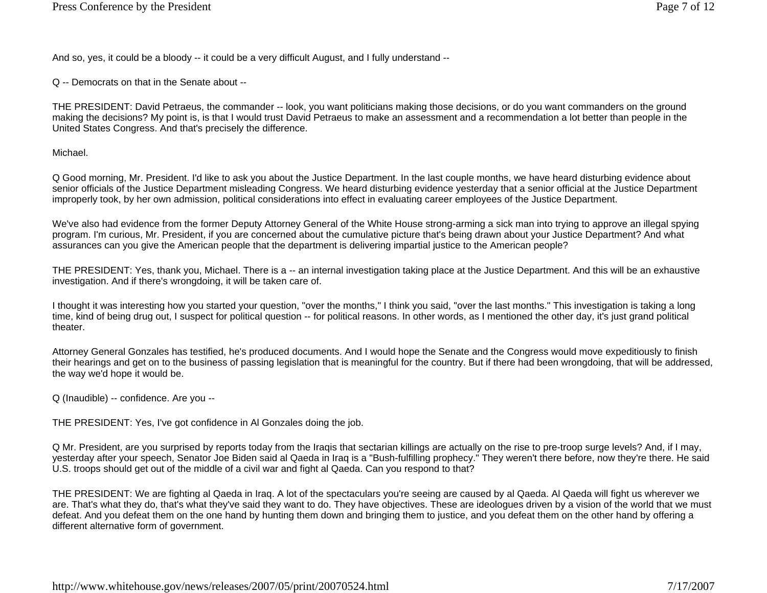And so, yes, it could be a bloody -- it could be a very difficult August, and I fully understand --

Q -- Democrats on that in the Senate about --

THE PRESIDENT: David Petraeus, the commander -- look, you want politicians making those decisions, or do you want commanders on the ground making the decisions? My point is, is that I would trust David Petraeus to make an assessment and a recommendation a lot better than people in the United States Congress. And that's precisely the difference.

Michael.

Q Good morning, Mr. President. I'd like to ask you about the Justice Department. In the last couple months, we have heard disturbing evidence about senior officials of the Justice Department misleading Congress. We heard disturbing evidence yesterday that a senior official at the Justice Department improperly took, by her own admission, political considerations into effect in evaluating career employees of the Justice Department.

We've also had evidence from the former Deputy Attorney General of the White House strong-arming a sick man into trying to approve an illegal spying program. I'm curious, Mr. President, if you are concerned about the cumulative picture that's being drawn about your Justice Department? And what assurances can you give the American people that the department is delivering impartial justice to the American people?

THE PRESIDENT: Yes, thank you, Michael. There is a -- an internal investigation taking place at the Justice Department. And this will be an exhaustive investigation. And if there's wrongdoing, it will be taken care of.

I thought it was interesting how you started your question, "over the months," I think you said, "over the last months." This investigation is taking a long time, kind of being drug out, I suspect for political question -- for political reasons. In other words, as I mentioned the other day, it's just grand political theater.

Attorney General Gonzales has testified, he's produced documents. And I would hope the Senate and the Congress would move expeditiously to finish their hearings and get on to the business of passing legislation that is meaningful for the country. But if there had been wrongdoing, that will be addressed, the way we'd hope it would be.

Q (Inaudible) -- confidence. Are you --

THE PRESIDENT: Yes, I've got confidence in Al Gonzales doing the job.

Q Mr. President, are you surprised by reports today from the Iraqis that sectarian killings are actually on the rise to pre-troop surge levels? And, if I may, yesterday after your speech, Senator Joe Biden said al Qaeda in Iraq is a "Bush-fulfilling prophecy." They weren't there before, now they're there. He said U.S. troops should get out of the middle of a civil war and fight al Qaeda. Can you respond to that?

THE PRESIDENT: We are fighting al Qaeda in Iraq. A lot of the spectaculars you're seeing are caused by al Qaeda. Al Qaeda will fight us wherever we are. That's what they do, that's what they've said they want to do. They have objectives. These are ideologues driven by a vision of the world that we must defeat. And you defeat them on the one hand by hunting them down and bringing them to justice, and you defeat them on the other hand by offering a different alternative form of government.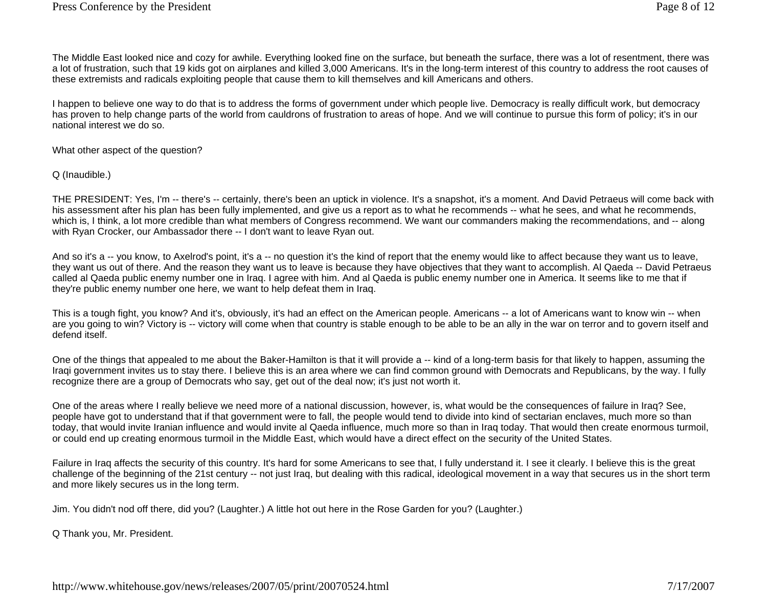The Middle East looked nice and cozy for awhile. Everything looked fine on the surface, but beneath the surface, there was a lot of resentment, there was a lot of frustration, such that 19 kids got on airplanes and killed 3,000 Americans. It's in the long-term interest of this country to address the root causes of these extremists and radicals exploiting people that cause them to kill themselves and kill Americans and others.

I happen to believe one way to do that is to address the forms of government under which people live. Democracy is really difficult work, but democracy has proven to help change parts of the world from cauldrons of frustration to areas of hope. And we will continue to pursue this form of policy; it's in our national interest we do so.

What other aspect of the question?

Q (Inaudible.)

THE PRESIDENT: Yes, I'm -- there's -- certainly, there's been an uptick in violence. It's a snapshot, it's a moment. And David Petraeus will come back with his assessment after his plan has been fully implemented, and give us a report as to what he recommends -- what he sees, and what he recommends, which is, I think, a lot more credible than what members of Congress recommend. We want our commanders making the recommendations, and -- along with Ryan Crocker, our Ambassador there -- I don't want to leave Ryan out.

And so it's a -- you know, to Axelrod's point, it's a -- no question it's the kind of report that the enemy would like to affect because they want us to leave, they want us out of there. And the reason they want us to leave is because they have objectives that they want to accomplish. Al Qaeda -- David Petraeus called al Qaeda public enemy number one in Iraq. I agree with him. And al Qaeda is public enemy number one in America. It seems like to me that if they're public enemy number one here, we want to help defeat them in Iraq.

This is a tough fight, you know? And it's, obviously, it's had an effect on the American people. Americans -- a lot of Americans want to know win -- when are you going to win? Victory is -- victory will come when that country is stable enough to be able to be an ally in the war on terror and to govern itself and defend itself.

One of the things that appealed to me about the Baker-Hamilton is that it will provide a -- kind of a long-term basis for that likely to happen, assuming the Iraqi government invites us to stay there. I believe this is an area where we can find common ground with Democrats and Republicans, by the way. I fully recognize there are a group of Democrats who say, get out of the deal now; it's just not worth it.

One of the areas where I really believe we need more of a national discussion, however, is, what would be the consequences of failure in Iraq? See, people have got to understand that if that government were to fall, the people would tend to divide into kind of sectarian enclaves, much more so than today, that would invite Iranian influence and would invite al Qaeda influence, much more so than in Iraq today. That would then create enormous turmoil, or could end up creating enormous turmoil in the Middle East, which would have a direct effect on the security of the United States.

Failure in Iraq affects the security of this country. It's hard for some Americans to see that, I fully understand it. I see it clearly. I believe this is the great challenge of the beginning of the 21st century -- not just Iraq, but dealing with this radical, ideological movement in a way that secures us in the short term and more likely secures us in the long term.

Jim. You didn't nod off there, did you? (Laughter.) A little hot out here in the Rose Garden for you? (Laughter.)

Q Thank you, Mr. President.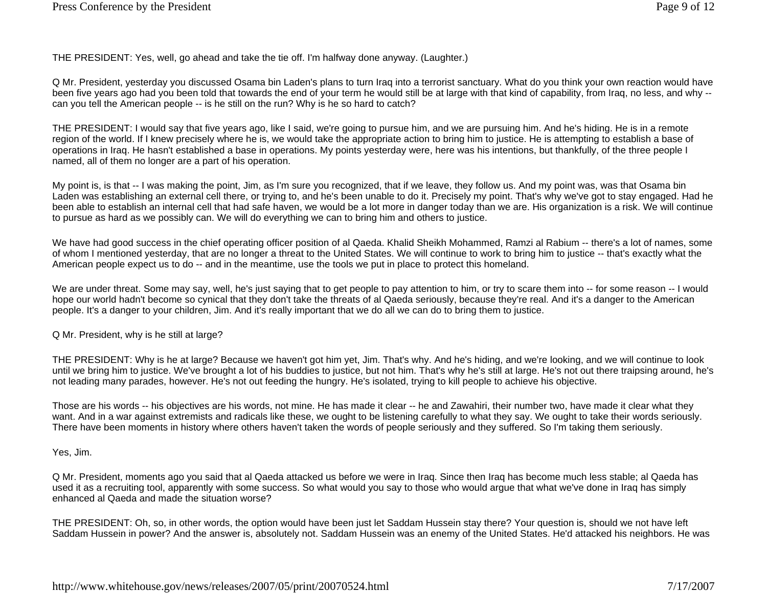THE PRESIDENT: Yes, well, go ahead and take the tie off. I'm halfway done anyway. (Laughter.)

Q Mr. President, yesterday you discussed Osama bin Laden's plans to turn Iraq into a terrorist sanctuary. What do you think your own reaction would have been five years ago had you been told that towards the end of your term he would still be at large with that kind of capability, from Iraq, no less, and why - can you tell the American people -- is he still on the run? Why is he so hard to catch?

THE PRESIDENT: I would say that five years ago, like I said, we're going to pursue him, and we are pursuing him. And he's hiding. He is in a remote region of the world. If I knew precisely where he is, we would take the appropriate action to bring him to justice. He is attempting to establish a base of operations in Iraq. He hasn't established a base in operations. My points yesterday were, here was his intentions, but thankfully, of the three people I named, all of them no longer are a part of his operation.

My point is, is that -- I was making the point, Jim, as I'm sure you recognized, that if we leave, they follow us. And my point was, was that Osama bin Laden was establishing an external cell there, or trying to, and he's been unable to do it. Precisely my point. That's why we've got to stay engaged. Had he been able to establish an internal cell that had safe haven, we would be a lot more in danger today than we are. His organization is a risk. We will continue to pursue as hard as we possibly can. We will do everything we can to bring him and others to justice.

We have had good success in the chief operating officer position of al Qaeda. Khalid Sheikh Mohammed, Ramzi al Rabium -- there's a lot of names, some of whom I mentioned yesterday, that are no longer a threat to the United States. We will continue to work to bring him to justice -- that's exactly what the American people expect us to do -- and in the meantime, use the tools we put in place to protect this homeland.

We are under threat. Some may say, well, he's just saying that to get people to pay attention to him, or try to scare them into -- for some reason -- I would hope our world hadn't become so cynical that they don't take the threats of al Qaeda seriously, because they're real. And it's a danger to the American people. It's a danger to your children, Jim. And it's really important that we do all we can do to bring them to justice.

Q Mr. President, why is he still at large?

THE PRESIDENT: Why is he at large? Because we haven't got him yet, Jim. That's why. And he's hiding, and we're looking, and we will continue to look until we bring him to justice. We've brought a lot of his buddies to justice, but not him. That's why he's still at large. He's not out there traipsing around, he's not leading many parades, however. He's not out feeding the hungry. He's isolated, trying to kill people to achieve his objective.

Those are his words -- his objectives are his words, not mine. He has made it clear -- he and Zawahiri, their number two, have made it clear what they want. And in a war against extremists and radicals like these, we ought to be listening carefully to what they say. We ought to take their words seriously. There have been moments in history where others haven't taken the words of people seriously and they suffered. So I'm taking them seriously.

# Yes, Jim.

Q Mr. President, moments ago you said that al Qaeda attacked us before we were in Iraq. Since then Iraq has become much less stable; al Qaeda has used it as a recruiting tool, apparently with some success. So what would you say to those who would argue that what we've done in Iraq has simply enhanced al Qaeda and made the situation worse?

THE PRESIDENT: Oh, so, in other words, the option would have been just let Saddam Hussein stay there? Your question is, should we not have left Saddam Hussein in power? And the answer is, absolutely not. Saddam Hussein was an enemy of the United States. He'd attacked his neighbors. He was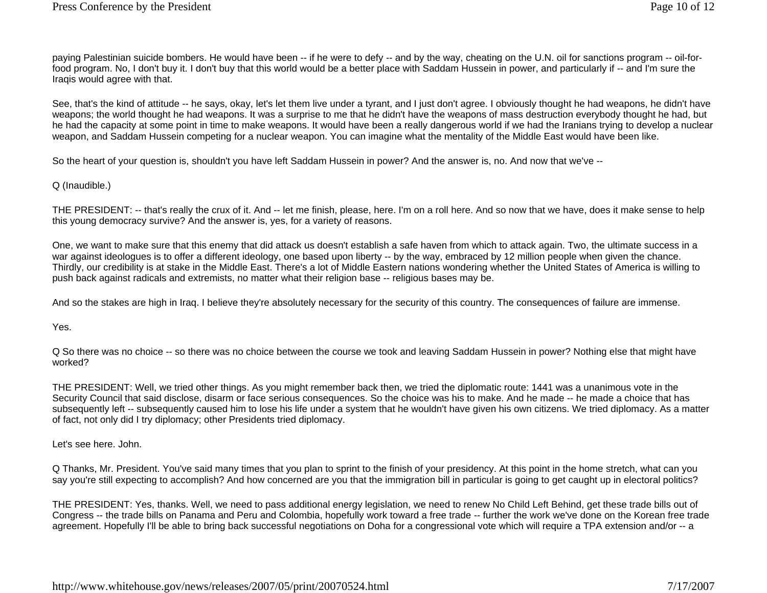paying Palestinian suicide bombers. He would have been -- if he were to defy -- and by the way, cheating on the U.N. oil for sanctions program -- oil-forfood program. No, I don't buy it. I don't buy that this world would be a better place with Saddam Hussein in power, and particularly if -- and I'm sure the Iraqis would agree with that.

See, that's the kind of attitude -- he says, okay, let's let them live under a tyrant, and I just don't agree. I obviously thought he had weapons, he didn't have weapons; the world thought he had weapons. It was a surprise to me that he didn't have the weapons of mass destruction everybody thought he had, but he had the capacity at some point in time to make weapons. It would have been a really dangerous world if we had the Iranians trying to develop a nuclear weapon, and Saddam Hussein competing for a nuclear weapon. You can imagine what the mentality of the Middle East would have been like.

So the heart of your question is, shouldn't you have left Saddam Hussein in power? And the answer is, no. And now that we've --

Q (Inaudible.)

THE PRESIDENT: -- that's really the crux of it. And -- let me finish, please, here. I'm on a roll here. And so now that we have, does it make sense to help this young democracy survive? And the answer is, yes, for a variety of reasons.

One, we want to make sure that this enemy that did attack us doesn't establish a safe haven from which to attack again. Two, the ultimate success in a war against ideologues is to offer a different ideology, one based upon liberty -- by the way, embraced by 12 million people when given the chance. Thirdly, our credibility is at stake in the Middle East. There's a lot of Middle Eastern nations wondering whether the United States of America is willing to push back against radicals and extremists, no matter what their religion base -- religious bases may be.

And so the stakes are high in Iraq. I believe they're absolutely necessary for the security of this country. The consequences of failure are immense.

Yes.

Q So there was no choice -- so there was no choice between the course we took and leaving Saddam Hussein in power? Nothing else that might have worked?

THE PRESIDENT: Well, we tried other things. As you might remember back then, we tried the diplomatic route: 1441 was a unanimous vote in the Security Council that said disclose, disarm or face serious consequences. So the choice was his to make. And he made -- he made a choice that has subsequently left -- subsequently caused him to lose his life under a system that he wouldn't have given his own citizens. We tried diplomacy. As a matter of fact, not only did I try diplomacy; other Presidents tried diplomacy.

Let's see here. John.

Q Thanks, Mr. President. You've said many times that you plan to sprint to the finish of your presidency. At this point in the home stretch, what can you say you're still expecting to accomplish? And how concerned are you that the immigration bill in particular is going to get caught up in electoral politics?

THE PRESIDENT: Yes, thanks. Well, we need to pass additional energy legislation, we need to renew No Child Left Behind, get these trade bills out of Congress -- the trade bills on Panama and Peru and Colombia, hopefully work toward a free trade -- further the work we've done on the Korean free trade agreement. Hopefully I'll be able to bring back successful negotiations on Doha for a congressional vote which will require a TPA extension and/or -- a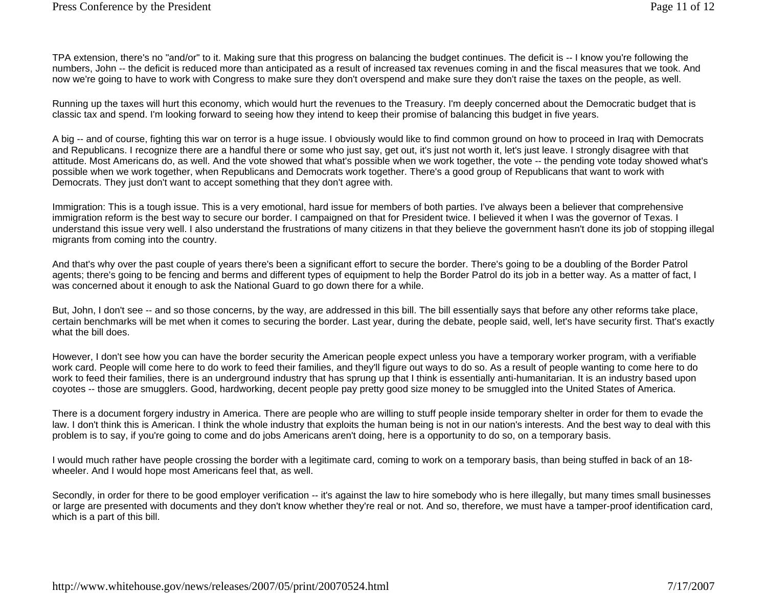TPA extension, there's no "and/or" to it. Making sure that this progress on balancing the budget continues. The deficit is -- I know you're following the numbers, John -- the deficit is reduced more than anticipated as a result of increased tax revenues coming in and the fiscal measures that we took. And now we're going to have to work with Congress to make sure they don't overspend and make sure they don't raise the taxes on the people, as well.

Running up the taxes will hurt this economy, which would hurt the revenues to the Treasury. I'm deeply concerned about the Democratic budget that is classic tax and spend. I'm looking forward to seeing how they intend to keep their promise of balancing this budget in five years.

A big -- and of course, fighting this war on terror is a huge issue. I obviously would like to find common ground on how to proceed in Iraq with Democrats and Republicans. I recognize there are a handful there or some who just say, get out, it's just not worth it, let's just leave. I strongly disagree with that attitude. Most Americans do, as well. And the vote showed that what's possible when we work together, the vote -- the pending vote today showed what's possible when we work together, when Republicans and Democrats work together. There's a good group of Republicans that want to work with Democrats. They just don't want to accept something that they don't agree with.

Immigration: This is a tough issue. This is a very emotional, hard issue for members of both parties. I've always been a believer that comprehensive immigration reform is the best way to secure our border. I campaigned on that for President twice. I believed it when I was the governor of Texas. I understand this issue very well. I also understand the frustrations of many citizens in that they believe the government hasn't done its job of stopping illegal migrants from coming into the country.

And that's why over the past couple of years there's been a significant effort to secure the border. There's going to be a doubling of the Border Patrol agents; there's going to be fencing and berms and different types of equipment to help the Border Patrol do its job in a better way. As a matter of fact, I was concerned about it enough to ask the National Guard to go down there for a while.

But, John, I don't see -- and so those concerns, by the way, are addressed in this bill. The bill essentially says that before any other reforms take place, certain benchmarks will be met when it comes to securing the border. Last year, during the debate, people said, well, let's have security first. That's exactly what the bill does.

However, I don't see how you can have the border security the American people expect unless you have a temporary worker program, with a verifiable work card. People will come here to do work to feed their families, and they'll figure out ways to do so. As a result of people wanting to come here to do work to feed their families, there is an underground industry that has sprung up that I think is essentially anti-humanitarian. It is an industry based upon coyotes -- those are smugglers. Good, hardworking, decent people pay pretty good size money to be smuggled into the United States of America.

There is a document forgery industry in America. There are people who are willing to stuff people inside temporary shelter in order for them to evade the law. I don't think this is American. I think the whole industry that exploits the human being is not in our nation's interests. And the best way to deal with this problem is to say, if you're going to come and do jobs Americans aren't doing, here is a opportunity to do so, on a temporary basis.

I would much rather have people crossing the border with a legitimate card, coming to work on a temporary basis, than being stuffed in back of an 18 wheeler. And I would hope most Americans feel that, as well.

Secondly, in order for there to be good employer verification -- it's against the law to hire somebody who is here illegally, but many times small businesses or large are presented with documents and they don't know whether they're real or not. And so, therefore, we must have a tamper-proof identification card, which is a part of this bill.